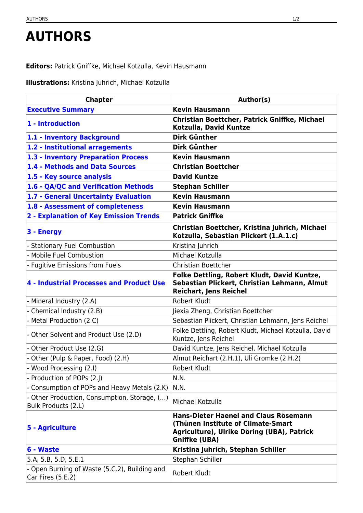## **AUTHORS**

**Editors:** Patrick Gniffke, Michael Kotzulla, Kevin Hausmann

**Illustrations:** Kristina Juhrich, Michael Kotzulla

| <b>Chapter</b>                                                      | Author(s)                                                                                                                                                |
|---------------------------------------------------------------------|----------------------------------------------------------------------------------------------------------------------------------------------------------|
| <b>Executive Summary</b>                                            | <b>Kevin Hausmann</b>                                                                                                                                    |
| 1 - Introduction                                                    | Christian Boettcher, Patrick Gniffke, Michael<br>Kotzulla, David Kuntze                                                                                  |
| 1.1 - Inventory Background                                          | <b>Dirk Günther</b>                                                                                                                                      |
| 1.2 - Institutional arragements                                     | <b>Dirk Günther</b>                                                                                                                                      |
| 1.3 - Inventory Preparation Process                                 | <b>Kevin Hausmann</b>                                                                                                                                    |
| 1.4 - Methods and Data Sources                                      | <b>Christian Boettcher</b>                                                                                                                               |
| 1.5 - Key source analysis                                           | <b>David Kuntze</b>                                                                                                                                      |
| 1.6 - QA/QC and Verification Methods                                | <b>Stephan Schiller</b>                                                                                                                                  |
| 1.7 - General Uncertainty Evaluation                                | <b>Kevin Hausmann</b>                                                                                                                                    |
| 1.8 - Assessment of completeness                                    | <b>Kevin Hausmann</b>                                                                                                                                    |
| 2 - Explanation of Key Emission Trends                              | <b>Patrick Gniffke</b>                                                                                                                                   |
| 3 - Energy                                                          | Christian Boettcher, Kristina Juhrich, Michael<br>Kotzulla, Sebastian Plickert (1.A.1.c)                                                                 |
| <b>Stationary Fuel Combustion</b>                                   | Kristina Juhrich                                                                                                                                         |
| - Mobile Fuel Combustion                                            | Michael Kotzulla                                                                                                                                         |
| - Fugitive Emissions from Fuels                                     | <b>Christian Boettcher</b>                                                                                                                               |
| 4 - Industrial Processes and Product Use                            | Folke Dettling, Robert Kludt, David Kuntze,<br>Sebastian Plickert, Christian Lehmann, Almut<br><b>Reichart, Jens Reichel</b>                             |
| - Mineral Industry (2.A)                                            | <b>Robert Kludt</b>                                                                                                                                      |
| - Chemical Industry (2.B)                                           | Jiexia Zheng, Christian Boettcher                                                                                                                        |
| - Metal Production (2.C)                                            | Sebastian Plickert, Christian Lehmann, Jens Reichel                                                                                                      |
| - Other Solvent and Product Use (2.D)                               | Folke Dettling, Robert Kludt, Michael Kotzulla, David<br>Kuntze, Jens Reichel                                                                            |
| - Other Product Use (2.G)                                           | David Kuntze, Jens Reichel, Michael Kotzulla                                                                                                             |
| - Other (Pulp & Paper, Food) (2.H)                                  | Almut Reichart (2.H.1), Uli Gromke (2.H.2)                                                                                                               |
| Wood Processing (2.I)                                               | Robert Kludt                                                                                                                                             |
| - Production of POPs (2.)                                           | N.N.                                                                                                                                                     |
| - Consumption of POPs and Heavy Metals (2.K)                        | N.N.                                                                                                                                                     |
| - Other Production, Consumption, Storage, ()<br>Bulk Products (2.L) | Michael Kotzulla                                                                                                                                         |
| 5 - Agriculture                                                     | <b>Hans-Dieter Haenel and Claus Rösemann</b><br>(Thünen Institute of Climate-Smart<br>Agriculture), Ulrike Döring (UBA), Patrick<br><b>Gniffke (UBA)</b> |
| 6 - Waste                                                           | Kristina Juhrich, Stephan Schiller                                                                                                                       |
| 5.A, 5.B, 5.D, 5.E.1                                                | Stephan Schiller                                                                                                                                         |
| - Open Burning of Waste (5.C.2), Building and<br>Car Fires (5.E.2)  | <b>Robert Kludt</b>                                                                                                                                      |